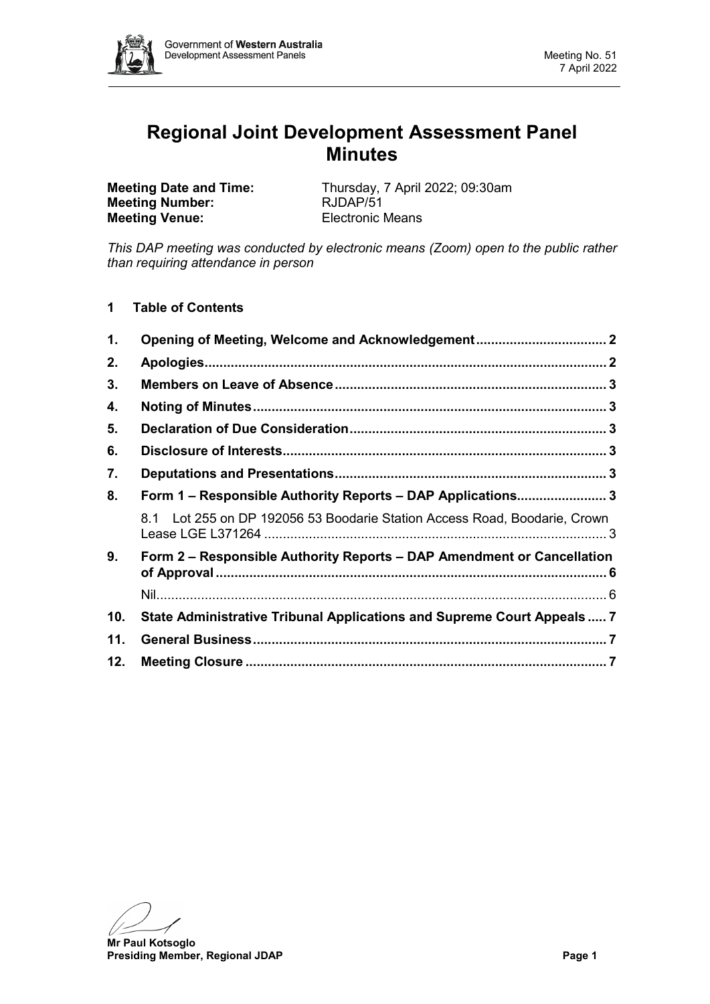

# **Regional Joint Development Assessment Panel Minutes**

**Meeting Number: Meeting Venue:** Electronic Means

**Meeting Date and Time:** Thursday, 7 April 2022; 09:30am<br> **Meeting Number:** RJDAP/51

*This DAP meeting was conducted by electronic means (Zoom) open to the public rather than requiring attendance in person*

**1 Table of Contents**

| 1.                                                                |                                                                           |  |  |  |
|-------------------------------------------------------------------|---------------------------------------------------------------------------|--|--|--|
| 2.                                                                |                                                                           |  |  |  |
| 3.                                                                |                                                                           |  |  |  |
| 4.                                                                |                                                                           |  |  |  |
| 5.                                                                |                                                                           |  |  |  |
| 6.                                                                |                                                                           |  |  |  |
| 7.                                                                |                                                                           |  |  |  |
| Form 1 - Responsible Authority Reports - DAP Applications 3<br>8. |                                                                           |  |  |  |
|                                                                   | 8.1 Lot 255 on DP 192056 53 Boodarie Station Access Road, Boodarie, Crown |  |  |  |
| 9.                                                                | Form 2 – Responsible Authority Reports – DAP Amendment or Cancellation    |  |  |  |
|                                                                   |                                                                           |  |  |  |
| 10.                                                               | State Administrative Tribunal Applications and Supreme Court Appeals  7   |  |  |  |
| 11.                                                               |                                                                           |  |  |  |
| 12.                                                               |                                                                           |  |  |  |

**Mr Paul Kotsoglo Presiding Member, Regional JDAP Page 1**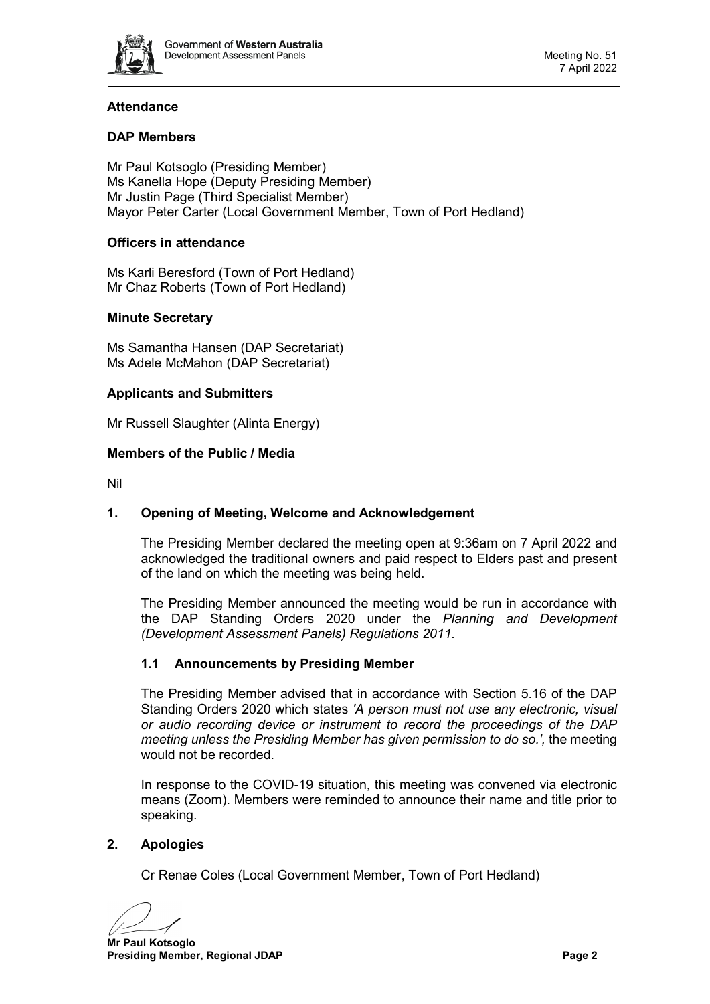

# **Attendance**

# **DAP Members**

Mr Paul Kotsoglo (Presiding Member) Ms Kanella Hope (Deputy Presiding Member) Mr Justin Page (Third Specialist Member) Mayor Peter Carter (Local Government Member, Town of Port Hedland)

# **Officers in attendance**

Ms Karli Beresford (Town of Port Hedland) Mr Chaz Roberts (Town of Port Hedland)

## **Minute Secretary**

Ms Samantha Hansen (DAP Secretariat) Ms Adele McMahon (DAP Secretariat)

## **Applicants and Submitters**

Mr Russell Slaughter (Alinta Energy)

#### **Members of the Public / Media**

<span id="page-1-0"></span>Nil

## **1. Opening of Meeting, Welcome and Acknowledgement**

The Presiding Member declared the meeting open at 9:36am on 7 April 2022 and acknowledged the traditional owners and paid respect to Elders past and present of the land on which the meeting was being held.

The Presiding Member announced the meeting would be run in accordance with the DAP Standing Orders 2020 under the *Planning and Development (Development Assessment Panels) Regulations 2011.*

## **1.1 Announcements by Presiding Member**

The Presiding Member advised that in accordance with Section 5.16 of the DAP Standing Orders 2020 which states *'A person must not use any electronic, visual or audio recording device or instrument to record the proceedings of the DAP meeting unless the Presiding Member has given permission to do so.',* the meeting would not be recorded.

In response to the COVID-19 situation, this meeting was convened via electronic means (Zoom). Members were reminded to announce their name and title prior to speaking.

## <span id="page-1-1"></span>**2. Apologies**

Cr Renae Coles (Local Government Member, Town of Port Hedland)

**Mr Paul Kotsoglo Presiding Member, Regional JDAP Page 2 Page 2**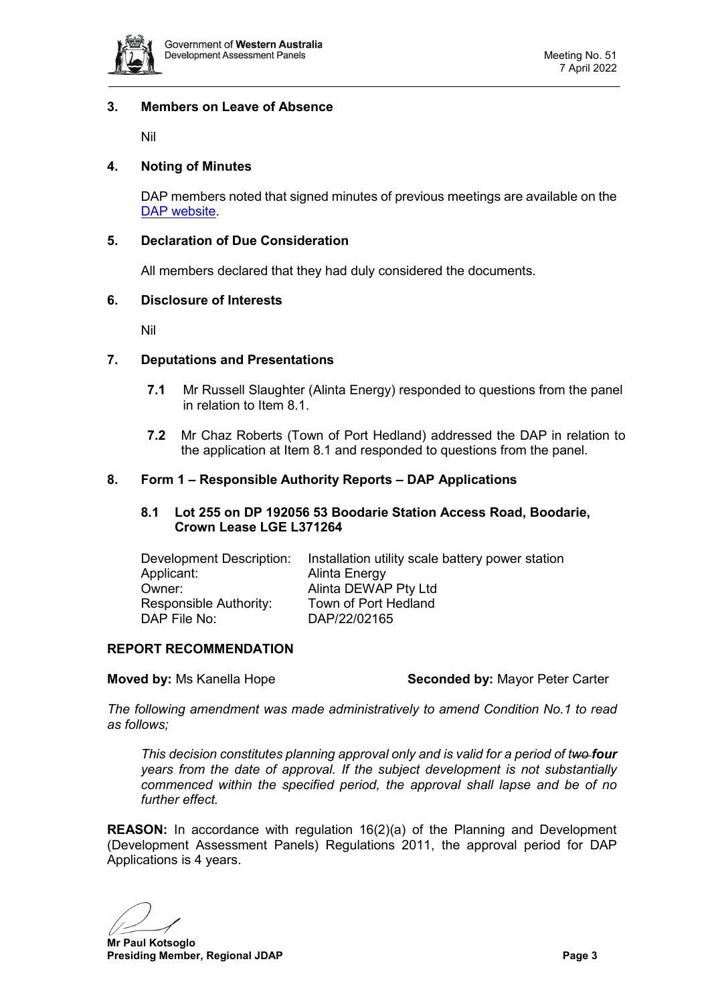

#### <span id="page-2-0"></span>**3. Members on Leave of Absence**

Nil

# <span id="page-2-1"></span>**4. Noting of Minutes**

DAP members noted that signed minutes of previous meetings are available on the [DAP website.](https://www.dplh.wa.gov.au/about/development-assessment-panels/daps-agendas-and-minutes)

#### <span id="page-2-2"></span>**5. Declaration of Due Consideration**

All members declared that they had duly considered the documents.

#### <span id="page-2-3"></span>**6. Disclosure of Interests**

Nil

#### <span id="page-2-4"></span>**7. Deputations and Presentations**

- **7.1** Mr Russell Slaughter (Alinta Energy) responded to questions from the panel in relation to Item 8.1.
- **7.2** Mr Chaz Roberts (Town of Port Hedland) addressed the DAP in relation to the application at Item 8.1 and responded to questions from the panel.

#### <span id="page-2-6"></span><span id="page-2-5"></span>**8. Form 1 – Responsible Authority Reports – DAP Applications**

#### **8.1 Lot 255 on DP 192056 53 Boodarie Station Access Road, Boodarie, Crown Lease LGE L371264**

| Development Description: | Installation utility scale battery power station |
|--------------------------|--------------------------------------------------|
| Applicant:               | Alinta Energy                                    |
| Owner:                   | Alinta DEWAP Pty Ltd                             |
| Responsible Authority:   | Town of Port Hedland                             |
| DAP File No:             | DAP/22/02165                                     |
|                          |                                                  |

#### **REPORT RECOMMENDATION**

**Moved by:** Ms Kanella Hope **Seconded by:** Mayor Peter Carter

*The following amendment was made administratively to amend Condition No.1 to read as follows;*

*This decision constitutes planning approval only and is valid for a period of two four years from the date of approval. If the subject development is not substantially commenced within the specified period, the approval shall lapse and be of no further effect.* 

**REASON:** In accordance with regulation 16(2)(a) of the Planning and Development (Development Assessment Panels) Regulations 2011, the approval period for DAP Applications is 4 years.

**Mr Paul Kotsoglo Presiding Member, Regional JDAP Page 3 Page 3**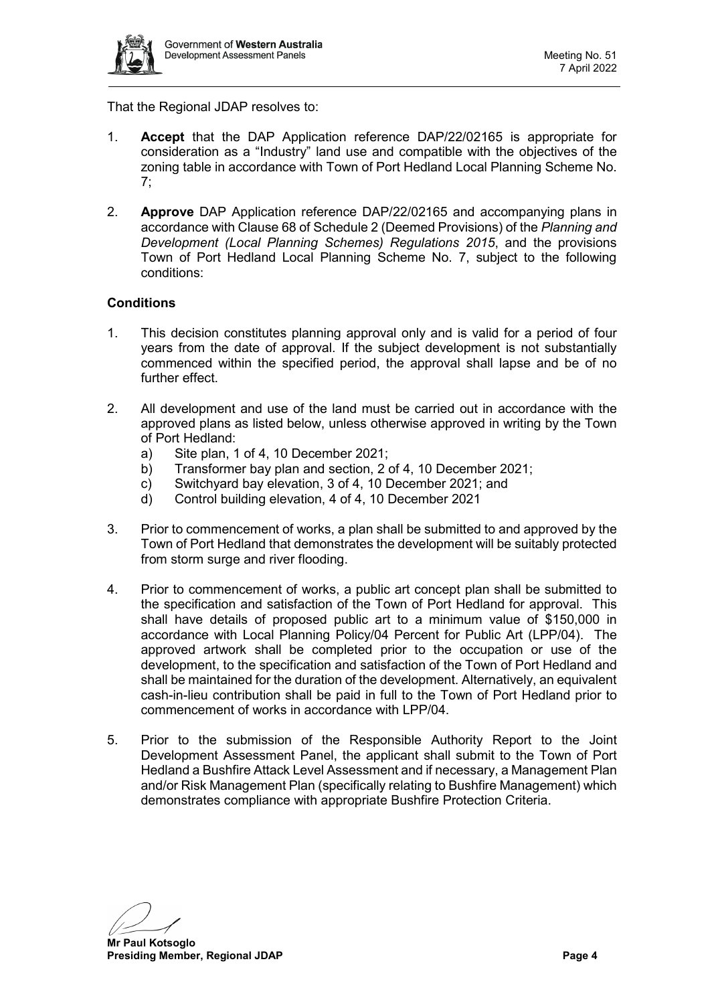

That the Regional JDAP resolves to:

- 1. **Accept** that the DAP Application reference DAP/22/02165 is appropriate for consideration as a "Industry" land use and compatible with the objectives of the zoning table in accordance with Town of Port Hedland Local Planning Scheme No. 7;
- 2. **Approve** DAP Application reference DAP/22/02165 and accompanying plans in accordance with Clause 68 of Schedule 2 (Deemed Provisions) of the *Planning and Development (Local Planning Schemes) Regulations 2015*, and the provisions Town of Port Hedland Local Planning Scheme No. 7, subject to the following conditions:

## **Conditions**

- 1. This decision constitutes planning approval only and is valid for a period of four years from the date of approval. If the subject development is not substantially commenced within the specified period, the approval shall lapse and be of no further effect.
- 2. All development and use of the land must be carried out in accordance with the approved plans as listed below, unless otherwise approved in writing by the Town of Port Hedland:
	- a) Site plan, 1 of 4, 10 December 2021;
	- b) Transformer bay plan and section, 2 of 4, 10 December 2021;
	- c) Switchyard bay elevation, 3 of 4, 10 December 2021; and
	- d) Control building elevation, 4 of 4, 10 December 2021
- 3. Prior to commencement of works, a plan shall be submitted to and approved by the Town of Port Hedland that demonstrates the development will be suitably protected from storm surge and river flooding.
- 4. Prior to commencement of works, a public art concept plan shall be submitted to the specification and satisfaction of the Town of Port Hedland for approval. This shall have details of proposed public art to a minimum value of \$150,000 in accordance with Local Planning Policy/04 Percent for Public Art (LPP/04). The approved artwork shall be completed prior to the occupation or use of the development, to the specification and satisfaction of the Town of Port Hedland and shall be maintained for the duration of the development. Alternatively, an equivalent cash-in-lieu contribution shall be paid in full to the Town of Port Hedland prior to commencement of works in accordance with LPP/04.
- 5. Prior to the submission of the Responsible Authority Report to the Joint Development Assessment Panel, the applicant shall submit to the Town of Port Hedland a Bushfire Attack Level Assessment and if necessary, a Management Plan and/or Risk Management Plan (specifically relating to Bushfire Management) which demonstrates compliance with appropriate Bushfire Protection Criteria.

**Mr Paul Kotsoglo Presiding Member, Regional JDAP Page 4 Page 4 Page 4 Page 4**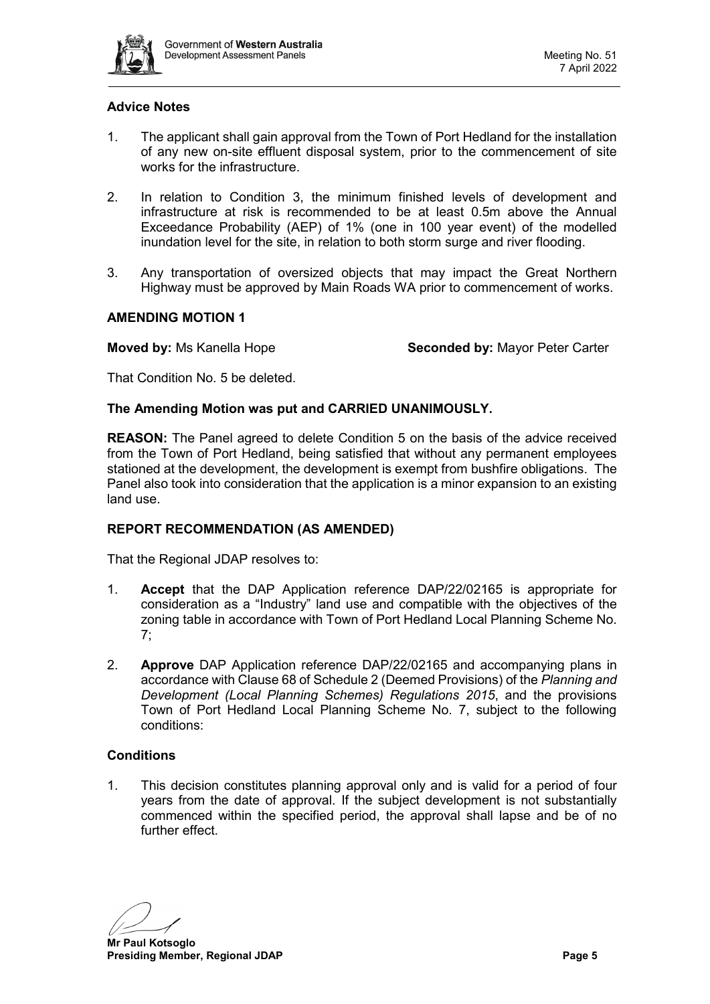

## **Advice Notes**

- 1. The applicant shall gain approval from the Town of Port Hedland for the installation of any new on-site effluent disposal system, prior to the commencement of site works for the infrastructure.
- 2. In relation to Condition 3, the minimum finished levels of development and infrastructure at risk is recommended to be at least 0.5m above the Annual Exceedance Probability (AEP) of 1% (one in 100 year event) of the modelled inundation level for the site, in relation to both storm surge and river flooding.
- 3. Any transportation of oversized objects that may impact the Great Northern Highway must be approved by Main Roads WA prior to commencement of works.

## **AMENDING MOTION 1**

**Moved by:** Ms Kanella Hope **Seconded by:** Mayor Peter Carter

That Condition No. 5 be deleted.

#### **The Amending Motion was put and CARRIED UNANIMOUSLY.**

**REASON:** The Panel agreed to delete Condition 5 on the basis of the advice received from the Town of Port Hedland, being satisfied that without any permanent employees stationed at the development, the development is exempt from bushfire obligations. The Panel also took into consideration that the application is a minor expansion to an existing land use.

## **REPORT RECOMMENDATION (AS AMENDED)**

That the Regional JDAP resolves to:

- 1. **Accept** that the DAP Application reference DAP/22/02165 is appropriate for consideration as a "Industry" land use and compatible with the objectives of the zoning table in accordance with Town of Port Hedland Local Planning Scheme No. 7;
- 2. **Approve** DAP Application reference DAP/22/02165 and accompanying plans in accordance with Clause 68 of Schedule 2 (Deemed Provisions) of the *Planning and Development (Local Planning Schemes) Regulations 2015*, and the provisions Town of Port Hedland Local Planning Scheme No. 7, subject to the following conditions:

# **Conditions**

1. This decision constitutes planning approval only and is valid for a period of four years from the date of approval. If the subject development is not substantially commenced within the specified period, the approval shall lapse and be of no further effect.

**Mr Paul Kotsoglo Presiding Member, Regional JDAP Page 5 Page 5**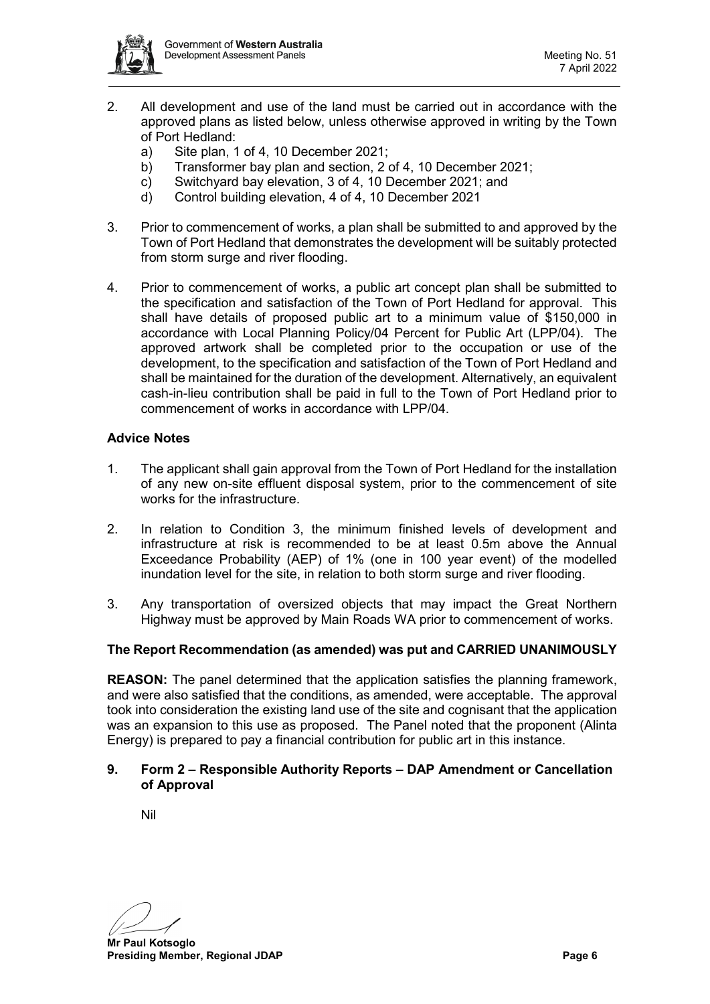

- 2. All development and use of the land must be carried out in accordance with the approved plans as listed below, unless otherwise approved in writing by the Town of Port Hedland:
	- a) Site plan, 1 of 4, 10 December 2021;
	- b) Transformer bay plan and section, 2 of 4, 10 December 2021;
	- c) Switchyard bay elevation, 3 of 4, 10 December 2021; and
	- d) Control building elevation, 4 of 4, 10 December 2021
- 3. Prior to commencement of works, a plan shall be submitted to and approved by the Town of Port Hedland that demonstrates the development will be suitably protected from storm surge and river flooding.
- 4. Prior to commencement of works, a public art concept plan shall be submitted to the specification and satisfaction of the Town of Port Hedland for approval. This shall have details of proposed public art to a minimum value of \$150,000 in accordance with Local Planning Policy/04 Percent for Public Art (LPP/04). The approved artwork shall be completed prior to the occupation or use of the development, to the specification and satisfaction of the Town of Port Hedland and shall be maintained for the duration of the development. Alternatively, an equivalent cash-in-lieu contribution shall be paid in full to the Town of Port Hedland prior to commencement of works in accordance with LPP/04.

## **Advice Notes**

- 1. The applicant shall gain approval from the Town of Port Hedland for the installation of any new on-site effluent disposal system, prior to the commencement of site works for the infrastructure.
- 2. In relation to Condition 3, the minimum finished levels of development and infrastructure at risk is recommended to be at least 0.5m above the Annual Exceedance Probability (AEP) of 1% (one in 100 year event) of the modelled inundation level for the site, in relation to both storm surge and river flooding.
- 3. Any transportation of oversized objects that may impact the Great Northern Highway must be approved by Main Roads WA prior to commencement of works.

## **The Report Recommendation (as amended) was put and CARRIED UNANIMOUSLY**

**REASON:** The panel determined that the application satisfies the planning framework, and were also satisfied that the conditions, as amended, were acceptable. The approval took into consideration the existing land use of the site and cognisant that the application was an expansion to this use as proposed. The Panel noted that the proponent (Alinta Energy) is prepared to pay a financial contribution for public art in this instance.

#### <span id="page-5-0"></span>**9. Form 2 – Responsible Authority Reports – DAP Amendment or Cancellation of Approval**

<span id="page-5-1"></span>Nil

**Mr Paul Kotsoglo Presiding Member, Regional JDAP Page 6 Page 6 Page 6 Page 6 Page 6 Page 6 Page 6**